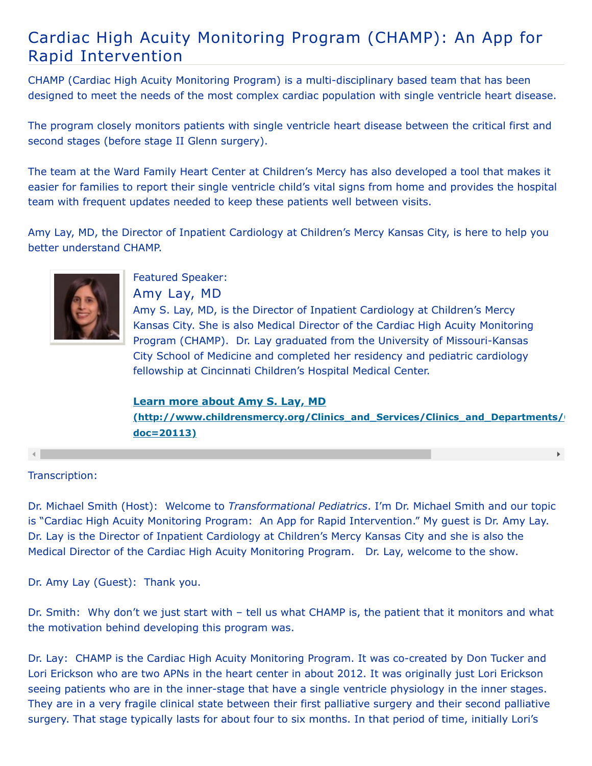## Cardiac High Acuity Monitoring Program (CHAMP): An App for Rapid Intervention

CHAMP (Cardiac High Acuity Monitoring Program) is a multi-disciplinary based team that has been designed to meet the needs of the most complex cardiac population with single ventricle heart disease.

The program closely monitors patients with single ventricle heart disease between the critical first and second stages (before stage II Glenn surgery).

The team at the Ward Family Heart Center at Children's Mercy has also developed a tool that makes it easier for families to report their single ventricle child's vital signs from home and provides the hospital team with frequent updates needed to keep these patients well between visits.

Amy Lay, MD, the Director of Inpatient Cardiology at Children's Mercy Kansas City, is here to help you better understand CHAMP.



## Featured Speaker: Amy Lay, MD

Amy S. Lay, MD, is the Director of Inpatient Cardiology at Children's Mercy Kansas City. She is also Medical Director of the Cardiac High Acuity Monitoring Program (CHAMP). Dr. Lay graduated from the University of Missouri-Kansas City School of Medicine and completed her residency and pediatric cardiology fellowship at Cincinnati Children's Hospital Medical Center.

## **Learn more about Amy S. Lay, MD**

**[\(http://www.childrensmercy.org/Clinics\\_and\\_Services/Clinics\\_and\\_Departments/C](http://www.childrensmercy.org/Clinics_and_Services/Clinics_and_Departments/Cardiology/Faculty_and_Staff/?doc=20113) doc=20113)**

 $\mathbf{F}$ 

## Transcription:

Dr. Michael Smith (Host): Welcome to *Transformational Pediatrics*. I'm Dr. Michael Smith and our topic is "Cardiac High Acuity Monitoring Program: An App for Rapid Intervention." My guest is Dr. Amy Lay. Dr. Lay is the Director of Inpatient Cardiology at Children's Mercy Kansas City and she is also the Medical Director of the Cardiac High Acuity Monitoring Program. Dr. Lay, welcome to the show.

Dr. Amy Lay (Guest): Thank you.

Dr. Smith: Why don't we just start with – tell us what CHAMP is, the patient that it monitors and what the motivation behind developing this program was.

Dr. Lay: CHAMP is the Cardiac High Acuity Monitoring Program. It was co-created by Don Tucker and Lori Erickson who are two APNs in the heart center in about 2012. It was originally just Lori Erickson seeing patients who are in the inner-stage that have a single ventricle physiology in the inner stages. They are in a very fragile clinical state between their first palliative surgery and their second palliative surgery. That stage typically lasts for about four to six months. In that period of time, initially Lori's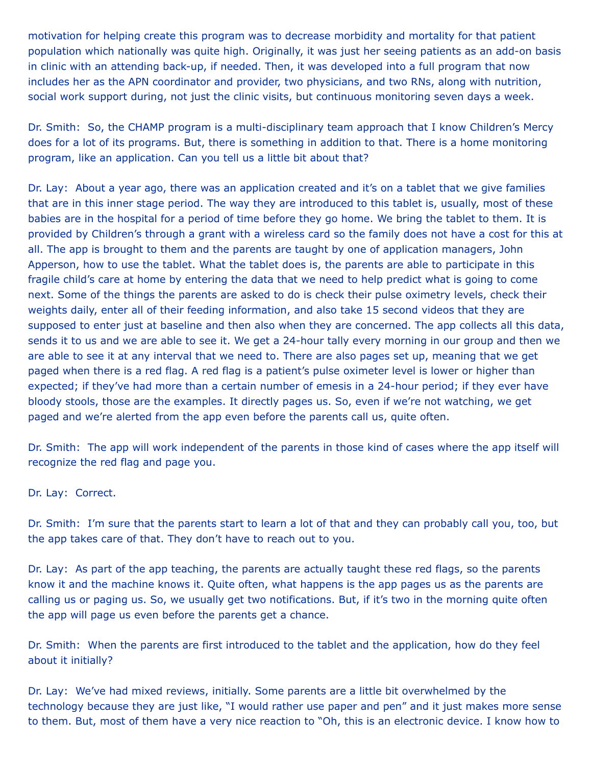motivation for helping create this program was to decrease morbidity and mortality for that patient population which nationally was quite high. Originally, it was just her seeing patients as an add-on basis in clinic with an attending back-up, if needed. Then, it was developed into a full program that now includes her as the APN coordinator and provider, two physicians, and two RNs, along with nutrition, social work support during, not just the clinic visits, but continuous monitoring seven days a week.

Dr. Smith: So, the CHAMP program is a multi-disciplinary team approach that I know Children's Mercy does for a lot of its programs. But, there is something in addition to that. There is a home monitoring program, like an application. Can you tell us a little bit about that?

Dr. Lay: About a year ago, there was an application created and it's on a tablet that we give families that are in this inner stage period. The way they are introduced to this tablet is, usually, most of these babies are in the hospital for a period of time before they go home. We bring the tablet to them. It is provided by Children's through a grant with a wireless card so the family does not have a cost for this at all. The app is brought to them and the parents are taught by one of application managers, John Apperson, how to use the tablet. What the tablet does is, the parents are able to participate in this fragile child's care at home by entering the data that we need to help predict what is going to come next. Some of the things the parents are asked to do is check their pulse oximetry levels, check their weights daily, enter all of their feeding information, and also take 15 second videos that they are supposed to enter just at baseline and then also when they are concerned. The app collects all this data, sends it to us and we are able to see it. We get a 24-hour tally every morning in our group and then we are able to see it at any interval that we need to. There are also pages set up, meaning that we get paged when there is a red flag. A red flag is a patient's pulse oximeter level is lower or higher than expected; if they've had more than a certain number of emesis in a 24-hour period; if they ever have bloody stools, those are the examples. It directly pages us. So, even if we're not watching, we get paged and we're alerted from the app even before the parents call us, quite often.

Dr. Smith: The app will work independent of the parents in those kind of cases where the app itself will recognize the red flag and page you.

Dr. Lay: Correct.

Dr. Smith: I'm sure that the parents start to learn a lot of that and they can probably call you, too, but the app takes care of that. They don't have to reach out to you.

Dr. Lay: As part of the app teaching, the parents are actually taught these red flags, so the parents know it and the machine knows it. Quite often, what happens is the app pages us as the parents are calling us or paging us. So, we usually get two notifications. But, if it's two in the morning quite often the app will page us even before the parents get a chance.

Dr. Smith: When the parents are first introduced to the tablet and the application, how do they feel about it initially?

Dr. Lay: We've had mixed reviews, initially. Some parents are a little bit overwhelmed by the technology because they are just like, "I would rather use paper and pen" and it just makes more sense to them. But, most of them have a very nice reaction to "Oh, this is an electronic device. I know how to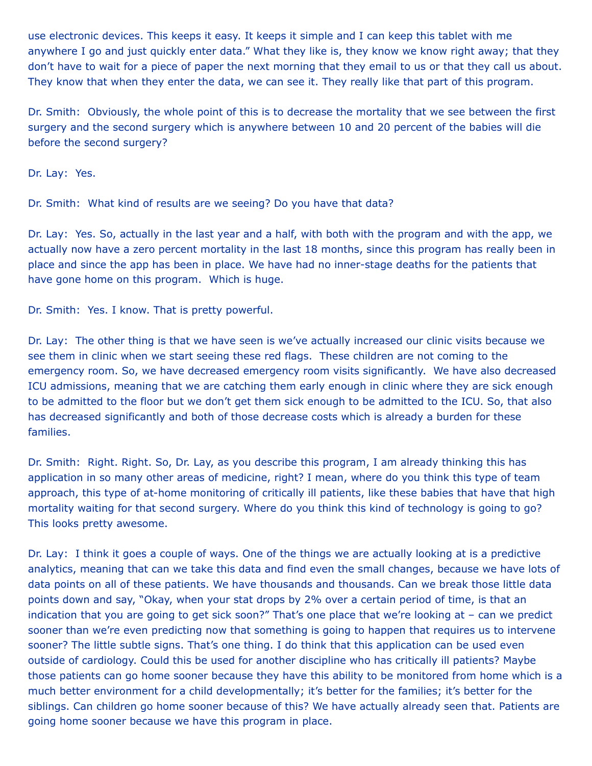use electronic devices. This keeps it easy. It keeps it simple and I can keep this tablet with me anywhere I go and just quickly enter data." What they like is, they know we know right away; that they don't have to wait for a piece of paper the next morning that they email to us or that they call us about. They know that when they enter the data, we can see it. They really like that part of this program.

Dr. Smith: Obviously, the whole point of this is to decrease the mortality that we see between the first surgery and the second surgery which is anywhere between 10 and 20 percent of the babies will die before the second surgery?

Dr. Lay: Yes.

Dr. Smith: What kind of results are we seeing? Do you have that data?

Dr. Lay: Yes. So, actually in the last year and a half, with both with the program and with the app, we actually now have a zero percent mortality in the last 18 months, since this program has really been in place and since the app has been in place. We have had no inner-stage deaths for the patients that have gone home on this program. Which is huge.

Dr. Smith: Yes. I know. That is pretty powerful.

Dr. Lay: The other thing is that we have seen is we've actually increased our clinic visits because we see them in clinic when we start seeing these red flags. These children are not coming to the emergency room. So, we have decreased emergency room visits significantly. We have also decreased ICU admissions, meaning that we are catching them early enough in clinic where they are sick enough to be admitted to the floor but we don't get them sick enough to be admitted to the ICU. So, that also has decreased significantly and both of those decrease costs which is already a burden for these families.

Dr. Smith: Right. Right. So, Dr. Lay, as you describe this program, I am already thinking this has application in so many other areas of medicine, right? I mean, where do you think this type of team approach, this type of at-home monitoring of critically ill patients, like these babies that have that high mortality waiting for that second surgery. Where do you think this kind of technology is going to go? This looks pretty awesome.

Dr. Lay: I think it goes a couple of ways. One of the things we are actually looking at is a predictive analytics, meaning that can we take this data and find even the small changes, because we have lots of data points on all of these patients. We have thousands and thousands. Can we break those little data points down and say, "Okay, when your stat drops by 2% over a certain period of time, is that an indication that you are going to get sick soon?" That's one place that we're looking at – can we predict sooner than we're even predicting now that something is going to happen that requires us to intervene sooner? The little subtle signs. That's one thing. I do think that this application can be used even outside of cardiology. Could this be used for another discipline who has critically ill patients? Maybe those patients can go home sooner because they have this ability to be monitored from home which is a much better environment for a child developmentally; it's better for the families; it's better for the siblings. Can children go home sooner because of this? We have actually already seen that. Patients are going home sooner because we have this program in place.